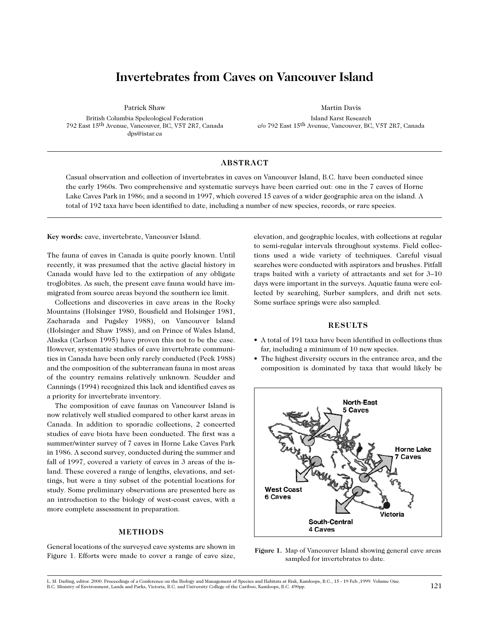# **Invertebrates from Caves on Vancouver Island**

Patrick Shaw

British Columbia Speleological Federation 792 East 15th Avenue, Vancouver, BC, V5T 2R7, Canada dps@istar.ca

Martin Davis Island Karst Research c/o 792 East 15th Avenue, Vancouver, BC, V5T 2R7, Canada

### **ABSTRACT**

Casual observation and collection of invertebrates in caves on Vancouver Island, B.C. have been conducted since the early 1960s. Two comprehensive and systematic surveys have been carried out: one in the 7 caves of Horne Lake Caves Park in 1986; and a second in 1997, which covered 15 caves of a wider geographic area on the island. A total of 192 taxa have been identified to date, including a number of new species, records, or rare species.

**Key words:** cave, invertebrate, Vancouver Island.

The fauna of caves in Canada is quite poorly known. Until recently, it was presumed that the active glacial history in Canada would have led to the extirpation of any obligate troglobites. As such, the present cave fauna would have immigrated from source areas beyond the southern ice limit.

Collections and discoveries in cave areas in the Rocky Mountains (Holsinger 1980, Bousfield and Holsinger 1981, Zacharada and Pugsley 1988), on Vancouver Island (Holsinger and Shaw 1988), and on Prince of Wales Island, Alaska (Carlson 1995) have proven this not to be the case. However, systematic studies of cave invertebrate communities in Canada have been only rarely conducted (Peck 1988) and the composition of the subterranean fauna in most areas of the country remains relatively unknown. Scudder and Cannings (1994) recognized this lack and identified caves as a priority for invertebrate inventory.

The composition of cave faunas on Vancouver Island is now relatively well studied compared to other karst areas in Canada. In addition to sporadic collections, 2 concerted studies of cave biota have been conducted. The first was a summer/winter survey of 7 caves in Horne Lake Caves Park in 1986. A second survey, conducted during the summer and fall of 1997, covered a variety of caves in 3 areas of the island. These covered a range of lengths, elevations, and settings, but were a tiny subset of the potential locations for study. Some preliminary observations are presented here as an introduction to the biology of west-coast caves, with a more complete assessment in preparation.

### **METHODS**

General locations of the surveyed cave systems are shown in Figure 1. Efforts were made to cover a range of cave size,

elevation, and geographic locales, with collections at regular to semi-regular intervals throughout systems. Field collections used a wide variety of techniques. Careful visual searches were conducted with aspirators and brushes. Pitfall traps baited with a variety of attractants and set for 3–10 days were important in the surveys. Aquatic fauna were collected by searching, Surber samplers, and drift net sets. Some surface springs were also sampled.

### **RESULTS**

- A total of 191 taxa have been identified in collections thus far, including a minimum of 10 new species.
- The highest diversity occurs in the entrance area, and the composition is dominated by taxa that would likely be



**Figure 1.** Map of Vancouver Island showing general cave areas sampled for invertebrates to date.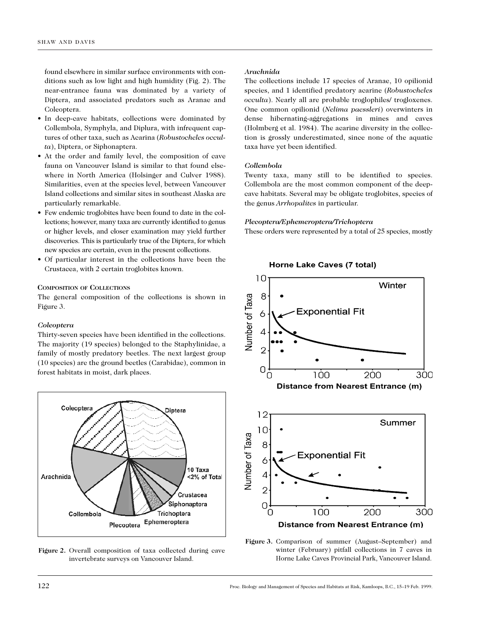found elsewhere in similar surface environments with conditions such as low light and high humidity (Fig. 2). The near-entrance fauna was dominated by a variety of Diptera, and associated predators such as Aranae and Coleoptera.

- In deep-cave habitats, collections were dominated by Collembola, Symphyla, and Diplura, with infrequent captures of other taxa, such as Acarina (*Robustocheles occulta*), Diptera, or Siphonaptera.
- At the order and family level, the composition of cave fauna on Vancouver Island is similar to that found elsewhere in North America (Holsinger and Culver 1988). Similarities, even at the species level, between Vancouver Island collections and similar sites in southeast Alaska are particularly remarkable.
- Few endemic troglobites have been found to date in the collections; however, many taxa are currently identified to genus or higher levels, and closer examination may yield further discoveries. This is particularly true of the Diptera, for which new species are certain, even in the present collections.
- Of particular interest in the collections have been the Crustacea, with 2 certain troglobites known.

### **COMPOSITION OF COLLECTIONS**

The general composition of the collections is shown in Figure 3.

#### *Coleoptera*

Thirty-seven species have been identified in the collections. The majority (19 species) belonged to the Staphylinidae, a family of mostly predatory beetles. The next largest group (10 species) are the ground beetles (Carabidae), common in forest habitats in moist, dark places.



**Figure 2.** Overall composition of taxa collected during cave invertebrate surveys on Vancouver Island.

#### *Arachnida*

The collections include 17 species of Aranae, 10 opilionid species, and 1 identified predatory acarine (*Robustocheles occulta*). Nearly all are probable troglophiles/ trogloxenes. One common opilionid (*Nelima paessleri*) overwinters in dense hibernating-aggregations in mines and caves (Holmberg et al. 1984). The acarine diversity in the collection is grossly underestimated, since none of the aquatic taxa have yet been identified.

### *Collembola*

Twenty taxa, many still to be identified to species. Collembola are the most common component of the deepcave habitats. Several may be obligate troglobites, species of the genus *Arrhopalites* in particular.

#### *Plecoptera/Ephemeroptera/Trichoptera*

These orders were represented by a total of 25 species, mostly



**Figure 3.** Comparison of summer (August–September) and winter (February) pitfall collections in 7 caves in Horne Lake Caves Provincial Park, Vancouver Island.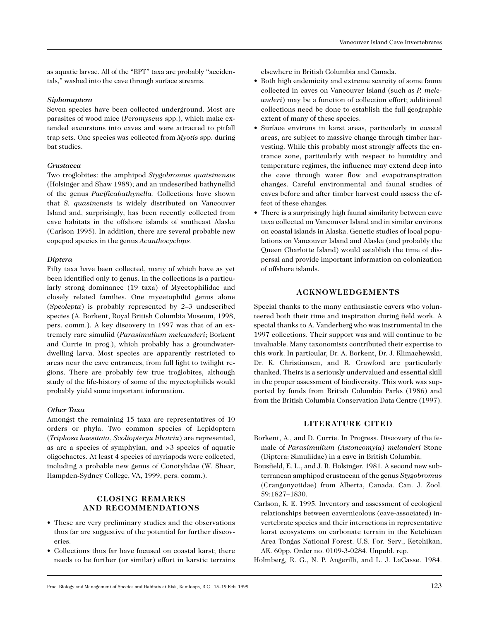as aquatic larvae. All of the "EPT" taxa are probably "accidentals," washed into the cave through surface streams.

### *Siphonaptera*

Seven species have been collected underground. Most are parasites of wood mice (*Peromyscus* spp.), which make extended excursions into caves and were attracted to pitfall trap sets. One species was collected from *Myotis* spp. during bat studies.

# *Crustacea*

Two troglobites: the amphipod *Stygobromus quatsinensis* (Holsinger and Shaw 1988); and an undescribed bathynellid of the genus *Pacificabathynella*. Collections have shown that *S. quasinensis* is widely distributed on Vancouver Island and, surprisingly, has been recently collected from cave habitats in the offshore islands of southeast Alaska (Carlson 1995). In addition, there are several probable new copepod species in the genus *Acanthocyclops*.

# *Diptera*

Fifty taxa have been collected, many of which have as yet been identified only to genus. In the collections is a particularly strong dominance (19 taxa) of Mycetophilidae and closely related families. One mycetophilid genus alone (*Speolepta*) is probably represented by 2–3 undescribed species (A. Borkent, Royal British Columbia Museum, 1998, pers. comm.). A key discovery in 1997 was that of an extremely rare simuliid (*Parasimulium meleanderi*; Borkent and Currie in prog.), which probably has a groundwaterdwelling larva. Most species are apparently restricted to areas near the cave entrances, from full light to twilight regions. There are probably few true troglobites, although study of the life-history of some of the mycetophilids would probably yield some important information.

# *Other Taxa*

Amongst the remaining 15 taxa are representatives of 10 orders or phyla. Two common species of Lepidoptera (*Triphosa haesitata*, *Scoliopteryx libatrix*) are represented, as are a species of symphylan, and >3 species of aquatic oligochaetes. At least 4 species of myriapods were collected, including a probable new genus of Conotylidae (W. Shear, Hampden-Sydney College, VA, 1999, pers. comm.).

# **CLOSING REMARKS AND RECOMMENDATIONS**

- These are very preliminary studies and the observations thus far are suggestive of the potential for further discoveries.
- Collections thus far have focused on coastal karst; there needs to be further (or similar) effort in karstic terrains

elsewhere in British Columbia and Canada.

- Both high endemicity and extreme scarcity of some fauna collected in caves on Vancouver Island (such as *P. meleanderi*) may be a function of collection effort; additional collections need be done to establish the full geographic extent of many of these species.
- Surface environs in karst areas, particularly in coastal areas, are subject to massive change through timber harvesting. While this probably most strongly affects the entrance zone, particularly with respect to humidity and temperature regimes, the influence may extend deep into the cave through water flow and evapotranspiration changes. Careful environmental and faunal studies of caves before and after timber harvest could assess the effect of these changes.
- There is a surprisingly high faunal similarity between cave taxa collected on Vancouver Island and in similar environs on coastal islands in Alaska. Genetic studies of local populations on Vancouver Island and Alaska (and probably the Queen Charlotte Island) would establish the time of dispersal and provide important information on colonization of offshore islands.

# **ACKNOWLEDGEMENTS**

Special thanks to the many enthusiastic cavers who volunteered both their time and inspiration during field work. A special thanks to A. Vanderberg who was instrumental in the 1997 collections. Their support was and will continue to be invaluable. Many taxonomists contributed their expertise to this work. In particular, Dr. A. Borkent, Dr. J. Klimachewski, Dr. K. Christiansen, and R. Crawford are particularly thanked. Theirs is a seriously undervalued and essential skill in the proper assessment of biodiversity. This work was supported by funds from British Columbia Parks (1986) and from the British Columbia Conservation Data Centre (1997).

# **LITERATURE CITED**

- Borkent, A., and D. Currie. In Progress. Discovery of the female of *Parasimulium (Astoneomyia) melanderi* Stone (Diptera: Simuliidae) in a cave in British Columbia.
- Bousfield, E. L., and J. R. Holsinger. 1981. A second new subterranean amphipod crustacean of the genus *Stygobromus* (Crangonyctidae) from Alberta, Canada. Can. J. Zool. 59:1827–1830.
- Carlson, K. E. 1995. Inventory and assessment of ecological relationships between cavernicolous (cave-associated) invertebrate species and their interactions in representative karst ecosystems on carbonate terrain in the Ketchican Area Tongas National Forest. U.S. For. Serv., Ketchikan, AK. 60pp. Order no. 0109-3-0284. Unpubl. rep.

Holmberg, R. G., N. P. Angerilli, and L. J. LaCasse. 1984.